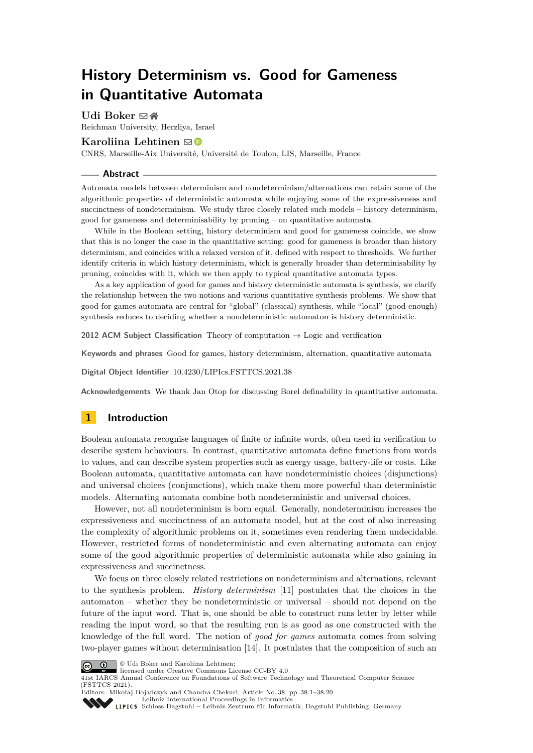# **History Determinism vs. Good for Gameness in Quantitative Automata**

## **Udi Boker** ⊠\*

Reichman University, Herzliya, Israel

## **Karoliina Lehtinen** ⊠<sup>®</sup>

CNRS, Marseille-Aix Université, Université de Toulon, LIS, Marseille, France

#### **Abstract**

Automata models between determinism and nondeterminism/alternations can retain some of the algorithmic properties of deterministic automata while enjoying some of the expressiveness and succinctness of nondeterminism. We study three closely related such models – history determinism, good for gameness and determinisability by pruning – on quantitative automata.

While in the Boolean setting, history determinism and good for gameness coincide, we show that this is no longer the case in the quantitative setting: good for gameness is broader than history determinism, and coincides with a relaxed version of it, defined with respect to thresholds. We further identify criteria in which history determinism, which is generally broader than determinisability by pruning, coincides with it, which we then apply to typical quantitative automata types.

As a key application of good for games and history deterministic automata is synthesis, we clarify the relationship between the two notions and various quantitative synthesis problems. We show that good-for-games automata are central for "global" (classical) synthesis, while "local" (good-enough) synthesis reduces to deciding whether a nondeterministic automaton is history deterministic.

**2012 ACM Subject Classification** Theory of computation → Logic and verification

**Keywords and phrases** Good for games, history determinism, alternation, quantitative automata

**Digital Object Identifier** [10.4230/LIPIcs.FSTTCS.2021.38](https://doi.org/10.4230/LIPIcs.FSTTCS.2021.38)

**Acknowledgements** We thank Jan Otop for discussing Borel definability in quantitative automata.

# **1 Introduction**

Boolean automata recognise languages of finite or infinite words, often used in verification to describe system behaviours. In contrast, quantitative automata define functions from words to values, and can describe system properties such as energy usage, battery-life or costs. Like Boolean automata, quantitative automata can have nondeterministic choices (disjunctions) and universal choices (conjunctions), which make them more powerful than deterministic models. Alternating automata combine both nondeterministic and universal choices.

However, not all nondeterminism is born equal. Generally, nondeterminism increases the expressiveness and succinctness of an automata model, but at the cost of also increasing the complexity of algorithmic problems on it, sometimes even rendering them undecidable. However, restricted forms of nondeterministic and even alternating automata can enjoy some of the good algorithmic properties of deterministic automata while also gaining in expressiveness and succinctness.

We focus on three closely related restrictions on nondeterminism and alternations, relevant to the synthesis problem. *History determinism* [\[11\]](#page-16-0) postulates that the choices in the automaton – whether they be nondeterministic or universal – should not depend on the future of the input word. That is, one should be able to construct runs letter by letter while reading the input word, so that the resulting run is as good as one constructed with the knowledge of the full word. The notion of *good for games* automata comes from solving two-player games without determinisation [\[14\]](#page-16-1). It postulates that the composition of such an



**C U**di Boker and Karoliina Lehtinen:

licensed under Creative Commons License CC-BY 4.0

41st IARCS Annual Conference on Foundations of Software Technology and Theoretical Computer Science (FSTTCS 2021).



Editors: Mikołaj Bojańczyk and Chandra Chekuri; Article No. 38; pp. 38:1–38:20 [Leibniz International Proceedings in Informatics](https://www.dagstuhl.de/lipics/)

[Schloss Dagstuhl – Leibniz-Zentrum für Informatik, Dagstuhl Publishing, Germany](https://www.dagstuhl.de)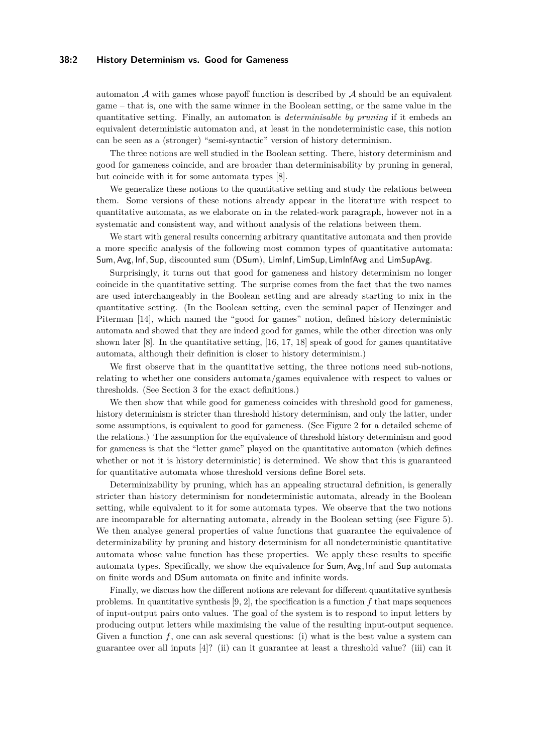#### **38:2 History Determinism vs. Good for Gameness**

automaton  $\mathcal A$  with games whose payoff function is described by  $\mathcal A$  should be an equivalent game – that is, one with the same winner in the Boolean setting, or the same value in the quantitative setting. Finally, an automaton is *determinisable by pruning* if it embeds an equivalent deterministic automaton and, at least in the nondeterministic case, this notion can be seen as a (stronger) "semi-syntactic" version of history determinism.

The three notions are well studied in the Boolean setting. There, history determinism and good for gameness coincide, and are broader than determinisability by pruning in general, but coincide with it for some automata types [\[8\]](#page-15-0).

We generalize these notions to the quantitative setting and study the relations between them. Some versions of these notions already appear in the literature with respect to quantitative automata, as we elaborate on in the related-work paragraph, however not in a systematic and consistent way, and without analysis of the relations between them.

We start with general results concerning arbitrary quantitative automata and then provide a more specific analysis of the following most common types of quantitative automata: Sum*,* Avg*,* Inf*,* Sup, discounted sum (DSum), LimInf*,* LimSup*,* LimInfAvg and LimSupAvg.

Surprisingly, it turns out that good for gameness and history determinism no longer coincide in the quantitative setting. The surprise comes from the fact that the two names are used interchangeably in the Boolean setting and are already starting to mix in the quantitative setting. (In the Boolean setting, even the seminal paper of Henzinger and Piterman [\[14\]](#page-16-1), which named the "good for games" notion, defined history deterministic automata and showed that they are indeed good for games, while the other direction was only shown later  $[8]$ . In the quantitative setting,  $[16, 17, 18]$  $[16, 17, 18]$  $[16, 17, 18]$  $[16, 17, 18]$  $[16, 17, 18]$  speak of good for games quantitative automata, although their definition is closer to history determinism.)

We first observe that in the quantitative setting, the three notions need sub-notions, relating to whether one considers automata/games equivalence with respect to values or thresholds. (See Section [3](#page-4-0) for the exact definitions.)

We then show that while good for gameness coincides with threshold good for gameness, history determinism is stricter than threshold history determinism, and only the latter, under some assumptions, is equivalent to good for gameness. (See Figure [2](#page-7-0) for a detailed scheme of the relations.) The assumption for the equivalence of threshold history determinism and good for gameness is that the "letter game" played on the quantitative automaton (which defines whether or not it is history deterministic) is determined. We show that this is guaranteed for quantitative automata whose threshold versions define Borel sets.

Determinizability by pruning, which has an appealing structural definition, is generally stricter than history determinism for nondeterministic automata, already in the Boolean setting, while equivalent to it for some automata types. We observe that the two notions are incomparable for alternating automata, already in the Boolean setting (see Figure [5\)](#page-11-0). We then analyse general properties of value functions that guarantee the equivalence of determinizability by pruning and history determinism for all nondeterministic quantitative automata whose value function has these properties. We apply these results to specific automata types. Specifically, we show the equivalence for Sum*,* Avg*,* Inf and Sup automata on finite words and DSum automata on finite and infinite words.

Finally, we discuss how the different notions are relevant for different quantitative synthesis problems. In quantitative synthesis [\[9,](#page-16-5) [2\]](#page-15-1), the specification is a function *f* that maps sequences of input-output pairs onto values. The goal of the system is to respond to input letters by producing output letters while maximising the value of the resulting input-output sequence. Given a function  $f$ , one can ask several questions: (i) what is the best value a system can guarantee over all inputs [\[4\]](#page-15-2)? (ii) can it guarantee at least a threshold value? (iii) can it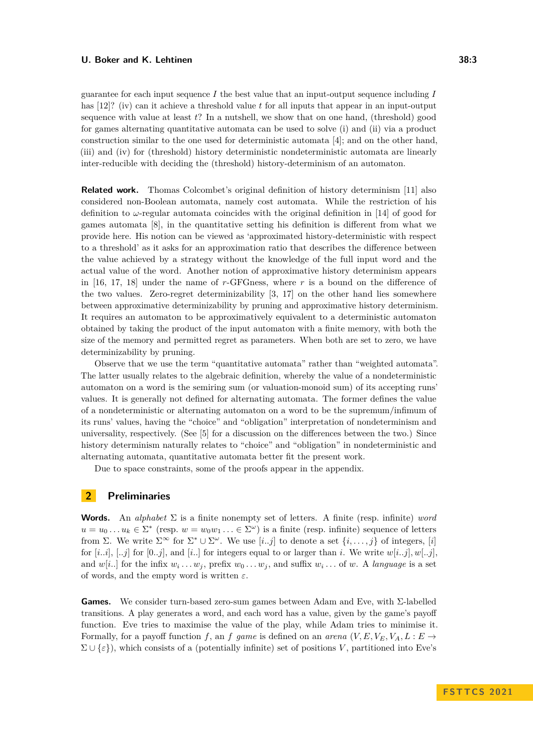guarantee for each input sequence *I* the best value that an input-output sequence including *I* has [\[12\]](#page-16-6)? (iv) can it achieve a threshold value *t* for all inputs that appear in an input-output sequence with value at least *t*? In a nutshell, we show that on one hand, (threshold) good for games alternating quantitative automata can be used to solve (i) and (ii) via a product construction similar to the one used for deterministic automata [\[4\]](#page-15-2); and on the other hand, (iii) and (iv) for (threshold) history deterministic nondeterministic automata are linearly inter-reducible with deciding the (threshold) history-determinism of an automaton.

**Related work.** Thomas Colcombet's original definition of history determinism [\[11\]](#page-16-0) also considered non-Boolean automata, namely cost automata. While the restriction of his definition to  $\omega$ -regular automata coincides with the original definition in [\[14\]](#page-16-1) of good for games automata [\[8\]](#page-15-0), in the quantitative setting his definition is different from what we provide here. His notion can be viewed as 'approximated history-deterministic with respect to a threshold' as it asks for an approximation ratio that describes the difference between the value achieved by a strategy without the knowledge of the full input word and the actual value of the word. Another notion of approximative history determinism appears in [\[16,](#page-16-2) [17,](#page-16-3) [18\]](#page-16-4) under the name of *r*-GFGness, where *r* is a bound on the difference of the two values. Zero-regret determinizability [\[3,](#page-15-3) [17\]](#page-16-3) on the other hand lies somewhere between approximative determinizability by pruning and approximative history determinism. It requires an automaton to be approximatively equivalent to a deterministic automaton obtained by taking the product of the input automaton with a finite memory, with both the size of the memory and permitted regret as parameters. When both are set to zero, we have determinizability by pruning.

Observe that we use the term "quantitative automata" rather than "weighted automata". The latter usually relates to the algebraic definition, whereby the value of a nondeterministic automaton on a word is the semiring sum (or valuation-monoid sum) of its accepting runs' values. It is generally not defined for alternating automata. The former defines the value of a nondeterministic or alternating automaton on a word to be the supremum/infimum of its runs' values, having the "choice" and "obligation" interpretation of nondeterminism and universality, respectively. (See [\[5\]](#page-15-4) for a discussion on the differences between the two.) Since history determinism naturally relates to "choice" and "obligation" in nondeterministic and alternating automata, quantitative automata better fit the present work.

Due to space constraints, some of the proofs appear in the appendix.

# **2 Preliminaries**

**Words.** An *alphabet*  $\Sigma$  is a finite nonempty set of letters. A finite (resp. infinite) *word*  $u = u_0 \dots u_k \in \Sigma^*$  (resp.  $w = w_0 w_1 \dots \in \Sigma^{\omega}$ ) is a finite (resp. infinite) sequence of letters from Σ. We write Σ<sup>∞</sup> for Σ<sup>\*</sup> ∪ Σ<sup>ω</sup>. We use [*i..j*] to denote a set  $\{i, \ldots, j\}$  of integers, [*i*] for  $[i..i]$ ,  $[..j]$  for  $[0..j]$ , and  $[i..]$  for integers equal to or larger than *i*. We write  $w[i..j]$ ,  $w[..j]$ , and  $w[i]$  for the infix  $w_i \ldots w_j$ , prefix  $w_0 \ldots w_j$ , and suffix  $w_i \ldots$  of  $w$ . A *language* is a set of words, and the empty word is written *ε*.

**Games.** We consider turn-based zero-sum games between Adam and Eve, with Σ-labelled transitions. A play generates a word, and each word has a value, given by the game's payoff function. Eve tries to maximise the value of the play, while Adam tries to minimise it. Formally, for a payoff function *f*, an *f* game is defined on an *arena*  $(V, E, V_E, V_A, L : E \rightarrow$  $\Sigma \cup {\varepsilon}$ ), which consists of a (potentially infinite) set of positions *V*, partitioned into Eve's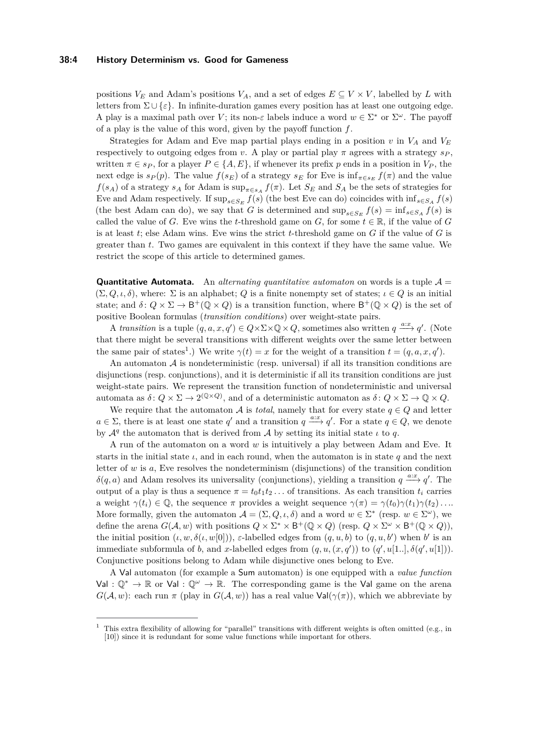#### **38:4 History Determinism vs. Good for Gameness**

positions  $V_E$  and Adam's positions  $V_A$ , and a set of edges  $E \subseteq V \times V$ , labelled by *L* with letters from  $\Sigma \cup {\varepsilon}$ . In infinite-duration games every position has at least one outgoing edge. A play is a maximal path over *V*; its non-*ε* labels induce a word  $w \in \Sigma^*$  or  $\Sigma^{\omega}$ . The payoff of a play is the value of this word, given by the payoff function *f*.

Strategies for Adam and Eve map partial plays ending in a position  $v$  in  $V_A$  and  $V_E$ respectively to outgoing edges from *v*. A play or partial play  $\pi$  agrees with a strategy  $s_P$ , written  $\pi \in s_P$ , for a player  $P \in \{A, E\}$ , if whenever its prefix p ends in a position in  $V_P$ , the next edge is  $s_P(p)$ . The value  $f(s_E)$  of a strategy  $s_E$  for Eve is  $\inf_{\pi \in s_E} f(\pi)$  and the value  $f(s_A)$  of a strategy  $s_A$  for Adam is  $\sup_{\pi \in s_A} f(\pi)$ . Let  $S_E$  and  $S_A$  be the sets of strategies for Eve and Adam respectively. If  $\sup_{s \in S_E} f(s)$  (the best Eve can do) coincides with  $\inf_{s \in S_A} f(s)$ (the best Adam can do), we say that *G* is determined and  $\sup_{s \in S_E} f(s) = \inf_{s \in S_A} f(s)$  is called the value of *G*. Eve wins the *t*-threshold game on *G*, for some  $t \in \mathbb{R}$ , if the value of *G* is at least *t*; else Adam wins. Eve wins the strict *t*-threshold game on *G* if the value of *G* is greater than *t*. Two games are equivalent in this context if they have the same value. We restrict the scope of this article to determined games.

**Quantitative Automata.** An *alternating quantitative automaton* on words is a tuple  $\mathcal{A} =$  $(\Sigma, Q, \iota, \delta)$ , where:  $\Sigma$  is an alphabet; *Q* is a finite nonempty set of states;  $\iota \in Q$  is an initial state; and  $\delta: Q \times \Sigma \to \mathsf{B}^+(\mathbb{Q} \times Q)$  is a transition function, where  $\mathsf{B}^+(\mathbb{Q} \times Q)$  is the set of positive Boolean formulas (*transition conditions*) over weight-state pairs.

A *transition* is a tuple  $(q, a, x, q') \in Q \times \Sigma \times \mathbb{Q} \times Q$ , sometimes also written  $q \stackrel{a:x}{\longrightarrow} q'$ . (Note that there might be several transitions with different weights over the same letter between the same pair of states<sup>[1](#page-3-0)</sup>.) We write  $\gamma(t) = x$  for the weight of a transition  $t = (q, a, x, q')$ .

An automaton  $A$  is nondeterministic (resp. universal) if all its transition conditions are disjunctions (resp. conjunctions), and it is deterministic if all its transition conditions are just weight-state pairs. We represent the transition function of nondeterministic and universal automata as  $\delta: Q \times \Sigma \to 2^{(Q \times Q)}$ , and of a deterministic automaton as  $\delta: Q \times \Sigma \to Q \times Q$ .

We require that the automaton A is *total*, namely that for every state  $q \in Q$  and letter  $a \in \Sigma$ , there is at least one state *q*' and a transition  $q \stackrel{a:x}{\longrightarrow} q'$ . For a state  $q \in Q$ , we denote by  $\mathcal{A}^q$  the automaton that is derived from  $\mathcal A$  by setting its initial state  $\iota$  to  $q$ .

A run of the automaton on a word *w* is intuitively a play between Adam and Eve. It starts in the initial state  $\iota$ , and in each round, when the automaton is in state  $q$  and the next letter of  $w$  is  $a$ , Eve resolves the nondeterminism (disjunctions) of the transition condition  $\delta(q, a)$  and Adam resolves its universality (conjunctions), yielding a transition  $q \stackrel{a:x}{\longrightarrow} q'$ . The output of a play is thus a sequence  $\pi = t_0 t_1 t_2 \dots$  of transitions. As each transition  $t_i$  carries a weight  $\gamma(t_i) \in \mathbb{Q}$ , the sequence  $\pi$  provides a weight sequence  $\gamma(\pi) = \gamma(t_0)\gamma(t_1)\gamma(t_2)\dots$ More formally, given the automaton  $A = (\Sigma, Q, \iota, \delta)$  and a word  $w \in \Sigma^*$  (resp.  $w \in \Sigma^{\omega}$ ), we define the arena  $G(A, w)$  with positions  $Q \times \Sigma^* \times B^+(\mathbb{Q} \times Q)$  (resp.  $Q \times \Sigma^{\omega} \times B^+(\mathbb{Q} \times Q)$ ), the initial position  $(\iota, w, \delta(\iota, w[0]))$ , *ε*-labelled edges from  $(q, u, b)$  to  $(q, u, b')$  when *b'* is an immediate subformula of *b*, and *x*-labelled edges from  $(q, u, (x, q'))$  to  $(q', u[1..], \delta(q', u[1]))$ . Conjunctive positions belong to Adam while disjunctive ones belong to Eve.

A Val automaton (for example a Sum automaton) is one equipped with a *value function* Val :  $\mathbb{Q}^* \to \mathbb{R}$  or Val :  $\mathbb{Q}^{\omega} \to \mathbb{R}$ . The corresponding game is the Val game on the arena  $G(\mathcal{A}, w)$ : each run *π* (play in  $G(\mathcal{A}, w)$ ) has a real value  $Val(\gamma(\pi))$ , which we abbreviate by

<span id="page-3-0"></span><sup>1</sup> This extra flexibility of allowing for "parallel" transitions with different weights is often omitted (e.g., in

[<sup>\[10\]</sup>](#page-16-7)) since it is redundant for some value functions while important for others.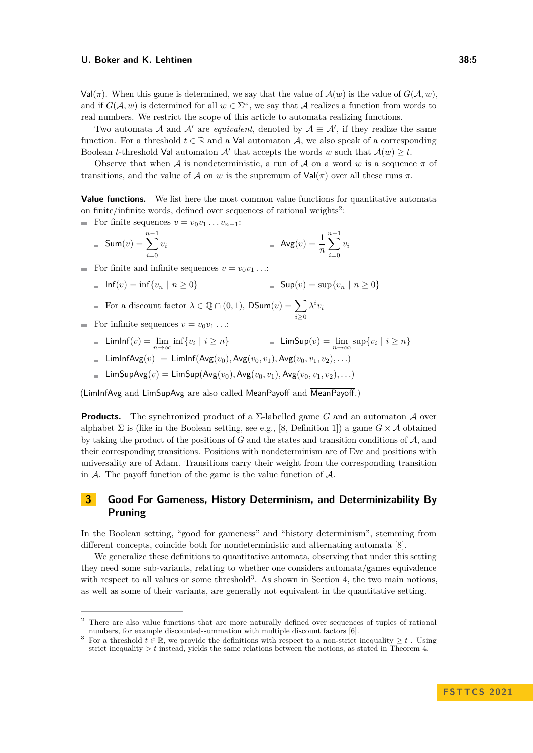$Val(\pi)$ . When this game is determined, we say that the value of  $\mathcal{A}(w)$  is the value of  $G(\mathcal{A}, w)$ , and if  $G(A, w)$  is determined for all  $w \in \Sigma^{\omega}$ , we say that A realizes a function from words to real numbers. We restrict the scope of this article to automata realizing functions.

Two automata A and A' are *equivalent*, denoted by  $A \equiv A'$ , if they realize the same function. For a threshold  $t \in \mathbb{R}$  and a Val automaton A, we also speak of a corresponding Boolean *t*-threshold Val automaton  $A'$  that accepts the words *w* such that  $A(w) \geq t$ .

Observe that when A is nondeterministic, a run of A on a word w is a sequence  $\pi$  of transitions, and the value of A on *w* is the supremum of  $Val(π)$  over all these runs  $π$ .

**Value functions.** We list here the most common value functions for quantitative automata on finite/infinite words, defined over sequences of rational weights<sup>[2](#page-4-1)</sup>:

For finite sequences  $v = v_0v_1 \dots v_{n-1}$ :

$$
= \text{Sum}(v) = \sum_{i=0}^{n-1} v_i \qquad \qquad = \text{Avg}(v) = \frac{1}{n} \sum_{i=0}^{n-1} v_i
$$

For finite and infinite sequences  $v = v_0 v_1 \dots$ 

$$
Inf(v) = inf{v_n | n \ge 0}
$$
 = Sup(v) = sup{v\_n | n \ge 0}

For a discount factor 
$$
\lambda \in \mathbb{Q} \cap (0, 1)
$$
,  $\mathsf{DSum}(v) = \sum_{i \geq 0} \lambda^i v_i$ 

- For infinite sequences  $v = v_0 v_1 \dots$ 
	- $\textsf{LimInf}(v) = \lim_{n \to \infty} \inf \{ v_i \mid i \geq n \}$  = LimSup(*v*) =  $\lim_{n \to \infty} \sup \{ v_i \mid i \geq n \}$
	- $\blacksquare$  LimInfAvg(*v*) = LimInf(Avg(*v*<sub>0</sub>)*,* Avg(*v*<sub>0</sub>*, v*<sub>1</sub>)*,* Avg(*v*<sub>0</sub>*, v*<sub>1</sub>*, v*<sub>2</sub>)*,...*)
	- $\mathsf{LimsUpAvg}(v) = \mathsf{LimSup}(\mathsf{Avg}(v_0), \mathsf{Avg}(v_0, v_1), \mathsf{Avg}(v_0, v_1, v_2), \ldots)$

(LimInfAvg and LimSupAvg are also called MeanPayoff and MeanPayoff.)

**Products.** The synchronized product of a Σ-labelled game *G* and an automaton A over alphabet  $\Sigma$  is (like in the Boolean setting, see e.g., [\[8,](#page-15-0) Definition 1]) a game  $G \times A$  obtained by taking the product of the positions of *G* and the states and transition conditions of A, and their corresponding transitions. Positions with nondeterminism are of Eve and positions with universality are of Adam. Transitions carry their weight from the corresponding transition in  $A$ . The payoff function of the game is the value function of  $A$ .

# <span id="page-4-0"></span>**3 Good For Gameness, History Determinism, and Determinizability By Pruning**

In the Boolean setting, "good for gameness" and "history determinism", stemming from different concepts, coincide both for nondeterministic and alternating automata [\[8\]](#page-15-0).

We generalize these definitions to quantitative automata, observing that under this setting they need some sub-variants, relating to whether one considers automata/games equivalence with respect to all values or some threshold<sup>[3](#page-4-2)</sup>. As shown in Section [4,](#page-6-0) the two main notions, as well as some of their variants, are generally not equivalent in the quantitative setting.

<span id="page-4-1"></span><sup>&</sup>lt;sup>2</sup> There are also value functions that are more naturally defined over sequences of tuples of rational numbers, for example discounted-summation with multiple discount factors [\[6\]](#page-15-5).

<span id="page-4-2"></span><sup>&</sup>lt;sup>3</sup> For a threshold  $t \in \mathbb{R}$ , we provide the definitions with respect to a non-strict inequality  $\geq t$ . Using strict inequality *> t* instead, yields the same relations between the notions, as stated in Theorem [4.](#page-6-1)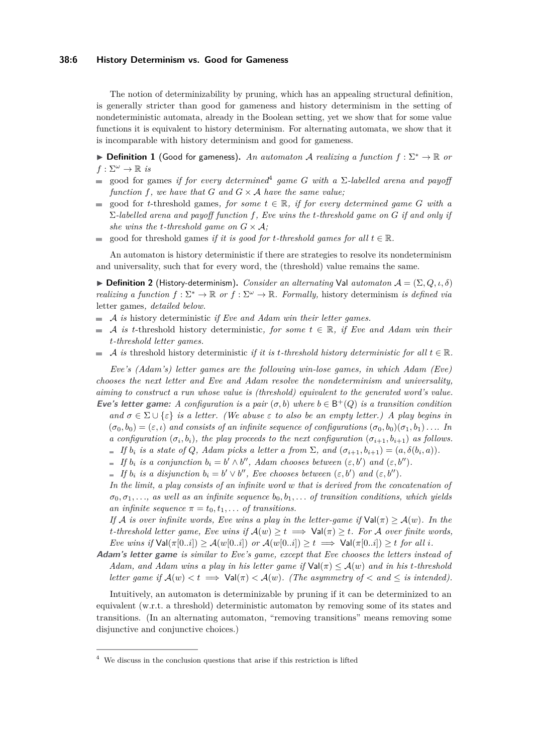#### **38:6 History Determinism vs. Good for Gameness**

The notion of determinizability by pruning, which has an appealing structural definition, is generally stricter than good for gameness and history determinism in the setting of nondeterministic automata, already in the Boolean setting, yet we show that for some value functions it is equivalent to history determinism. For alternating automata, we show that it is incomparable with history determinism and good for gameness.

▶ **Definition 1** (Good for gameness)**.** *An automaton* A *realizing a function f* : Σ<sup>∗</sup> → R *or*  $f: \Sigma^{\omega} \to \mathbb{R}$  *is* 

- good for games *if for every determined*[4](#page-5-0) *game G with a* Σ*-labelled arena and payoff*  $\equiv$ *function f, we have that G and*  $G \times A$  *have the same value;*
- good for *t*-threshold games, for some  $t \in \mathbb{R}$ , if for every determined game G with a  $\sim$ Σ*-labelled arena and payoff function f, Eve wins the t-threshold game on G if and only if she wins the t-threshold game on*  $G \times A$ ;
- good for threshold games *if it is good for t-threshold games for all*  $t \in \mathbb{R}$ *.*  $\sim$

An automaton is history deterministic if there are strategies to resolve its nondeterminism and universality, such that for every word, the (threshold) value remains the same.

 $\triangleright$  **Definition 2** (History-determinism). *Consider an alternating* Val *automaton*  $\mathcal{A} = (\Sigma, Q, \iota, \delta)$ *realizing a function*  $f : \Sigma^* \to \mathbb{R}$  *or*  $f : \Sigma^{\omega} \to \mathbb{R}$ *. Formally, history determinism is defined via* letter games*, detailed below.*

- A *is* history deterministic *if Eve and Adam win their letter games.*
- A *is t*-threshold history deterministic, for some  $t \in \mathbb{R}$ , if Eve and Adam win their *t-threshold letter games.*
- A *is* threshold history deterministic *if it is t*-threshold history deterministic for all  $t \in \mathbb{R}$ .  $\mathcal{L}_{\mathcal{A}}$

*Eve's (Adam's) letter games are the following win-lose games, in which Adam (Eve) chooses the next letter and Eve and Adam resolve the nondeterminism and universality, aiming to construct a run whose value is (threshold) equivalent to the generated word's value.* **Eve's letter game:** A configuration is a pair  $(\sigma, b)$  where  $b \in B^+(Q)$  is a transition condition *and*  $\sigma \in \Sigma \cup \{\varepsilon\}$  *is a letter. (We abuse*  $\varepsilon$  *to also be an empty letter.) A play begins in*  $(\sigma_0, b_0) = (\varepsilon, \iota)$  and consists of an infinite sequence of configurations  $(\sigma_0, b_0)(\sigma_1, b_1)$ . . . *In a configuration*  $(\sigma_i, b_i)$ *, the play proceeds to the next configuration*  $(\sigma_{i+1}, b_{i+1})$  *as follows. If*  $b_i$  *is a state of*  $Q$ *, Adam picks a letter a from*  $\Sigma$ *, and*  $(\sigma_{i+1}, b_{i+1}) = (a, \delta(b_i, a))$ *. If*  $b_i$  *is a conjunction*  $b_i = b' \wedge b''$ , *Adam chooses between*  $(\varepsilon, b')$  *and*  $(\varepsilon, b'')$ *.* 

*If*  $b_i$  *is a disjunction*  $b_i = b' \vee b''$ , Eve chooses between  $(\varepsilon, b')$  *and*  $(\varepsilon, b'')$ *.* 

*In the limit, a play consists of an infinite word w that is derived from the concatenation of*  $\sigma_0, \sigma_1, \ldots$ , as well as an infinite sequence  $b_0, b_1, \ldots$  of transition conditions, which yields *an infinite sequence*  $\pi = t_0, t_1, \ldots$  *of transitions.* 

*If* A *is over infinite words, Eve wins a play in the letter-game if*  $Val(\pi) \geq A(w)$ *. In the t*-threshold letter game, Eve wins if  $A(w) \ge t \implies \text{Val}(\pi) \ge t$ . For A over finite words, *Eve wins if*  $Val(\pi[0..i]) \geq \mathcal{A}(w[0..i])$  *or*  $\mathcal{A}(w[0..i]) \geq t \implies Val(\pi[0..i]) \geq t$  *for all i.* 

**Adam's letter game** *is similar to Eve's game, except that Eve chooses the letters instead of Adam, and Adam wins a play in his letter game if*  $Val(\pi) \leq A(w)$  *and in his t-threshold letter game if*  $A(w) < t \implies \text{Val}(\pi) < A(w)$ *. (The asymmetry of*  $\lt{and} \leq$  *is intended).* 

Intuitively, an automaton is determinizable by pruning if it can be determinized to an equivalent (w.r.t. a threshold) deterministic automaton by removing some of its states and transitions. (In an alternating automaton, "removing transitions" means removing some disjunctive and conjunctive choices.)

<span id="page-5-0"></span> $4\,$  We discuss in the conclusion questions that arise if this restriction is lifted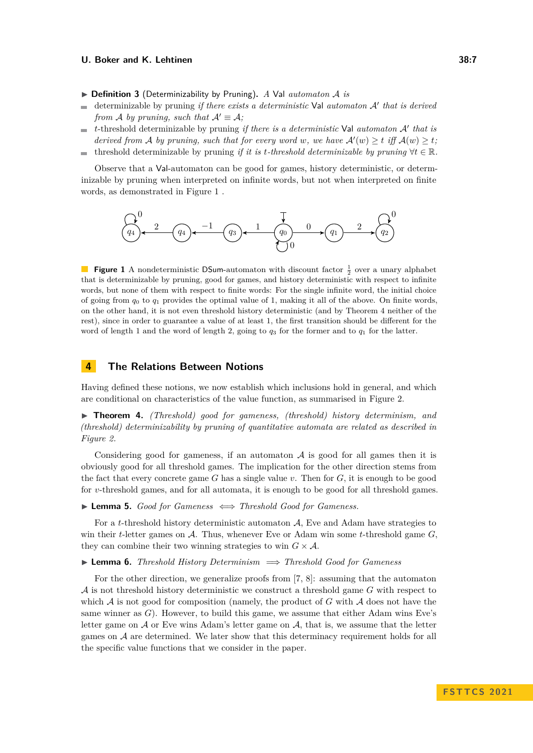- ▶ **Definition 3** (Determinizability by Pruning)**.** *A* Val *automaton* A *is*
- determinizable by pruning *if there exists a deterministic* Val *automaton* A′ *that is derived*  $\rightarrow$ *from A by pruning, such that*  $A' \equiv A$ *;*
- *t*-threshold determinizable by pruning *if there is a deterministic* Val *automaton* A′ *that is*  $\overline{\phantom{a}}$ *derived from* A *by pruning, such that for every word w, we have*  $A'(w) \geq t$  *iff*  $A(w) \geq t$ *;*
- threshold determinizable by pruning *if it is t-threshold determinizable by pruning*  $\forall t \in \mathbb{R}$ .  $\sim$

Observe that a Val-automaton can be good for games, history deterministic, or determinizable by pruning when interpreted on infinite words, but not when interpreted on finite words, as demonstrated in Figure [1](#page-6-2) .

<span id="page-6-2"></span>

**Figure 1** A nondeterministic DSum-automaton with discount factor  $\frac{1}{2}$  over a unary alphabet that is determinizable by pruning, good for games, and history deterministic with respect to infinite words, but none of them with respect to finite words: For the single infinite word, the initial choice of going from  $q_0$  to  $q_1$  provides the optimal value of 1, making it all of the above. On finite words, on the other hand, it is not even threshold history deterministic (and by Theorem [4](#page-6-1) neither of the rest), since in order to guarantee a value of at least 1, the first transition should be different for the word of length 1 and the word of length 2, going to  $q_3$  for the former and to  $q_1$  for the latter.

# <span id="page-6-0"></span>**4 The Relations Between Notions**

Having defined these notions, we now establish which inclusions hold in general, and which are conditional on characteristics of the value function, as summarised in Figure [2.](#page-7-0)

<span id="page-6-1"></span>▶ **Theorem 4.** *(Threshold) good for gameness, (threshold) history determinism, and (threshold) determinizability by pruning of quantitative automata are related as described in Figure [2.](#page-7-0)*

Considering good for gameness, if an automaton  $A$  is good for all games then it is obviously good for all threshold games. The implication for the other direction stems from the fact that every concrete game *G* has a single value *v*. Then for *G*, it is enough to be good for *v*-threshold games, and for all automata, it is enough to be good for all threshold games.

<span id="page-6-3"></span>▶ **Lemma 5.** *Good for Gameness* ⇐⇒ *Threshold Good for Gameness.*

For a *t*-threshold history deterministic automaton A, Eve and Adam have strategies to win their *t*-letter games on A. Thus, whenever Eve or Adam win some *t*-threshold game *G*, they can combine their two winning strategies to win  $G \times A$ .

<span id="page-6-4"></span>▶ **Lemma 6.** *Threshold History Determinism* =⇒ *Threshold Good for Gameness*

<span id="page-6-5"></span>For the other direction, we generalize proofs from [\[7,](#page-15-6) [8\]](#page-15-0): assuming that the automaton A is not threshold history deterministic we construct a threshold game *G* with respect to which  $A$  is not good for composition (namely, the product of  $G$  with  $A$  does not have the same winner as *G*). However, to build this game, we assume that either Adam wins Eve's letter game on  $A$  or Eve wins Adam's letter game on  $A$ , that is, we assume that the letter games on  $A$  are determined. We later show that this determinacy requirement holds for all the specific value functions that we consider in the paper.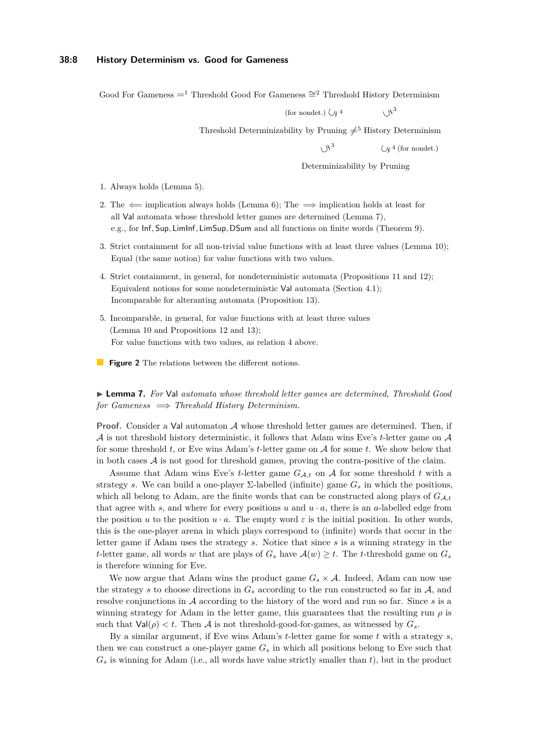#### **38:8 History Determinism vs. Good for Gameness**

<span id="page-7-0"></span>Good For Gameness  $=$ <sup>1</sup> Threshold Good For Gameness  $\cong$ <sup>2</sup> Threshold History Determinism

(for nondet.)  $\bigcup \chi^4$   $\bigcup \chi^3$ 

Threshold Determinizability by Pruning  $\neq$ <sup>5</sup> History Determinism

 $\chi$   $\mathcal{H}^3$ 

 $\left(\sqrt{4} / 4 \right)$  (for nondet.)

Determinizability by Pruning

- 1. Always holds (Lemma [5\)](#page-6-3).
- 2. The  $\Leftarrow$  implication always holds (Lemma [6\)](#page-6-4); The  $\Rightarrow$  implication holds at least for all Val automata whose threshold letter games are determined (Lemma [7\)](#page-6-5), e.g., for Inf*,* Sup*,* LimInf*,* LimSup*,* DSum and all functions on finite words (Theorem [9\)](#page-8-0).
- 3. Strict containment for all non-trivial value functions with at least three values (Lemma [10\)](#page-9-0); Equal (the same notion) for value functions with two values.
- 4. Strict containment, in general, for nondeterministic automata (Propositions [11](#page-10-0) and [12\)](#page-10-1); Equivalent notions for some nondeterministic Val automata (Section [4.1\)](#page-11-1); Incomparable for alteranting automata (Proposition [13\)](#page-11-2).
- 5. Incomparable, in general, for value functions with at least three values (Lemma [10](#page-9-0) and Propositions [12](#page-10-1) and [13\)](#page-11-2); For value functions with two values, as relation 4 above.
- **Figure 2** The relations between the different notions.

▶ **Lemma 7.** *For* Val *automata whose threshold letter games are determined, Threshold Good for Gameness* =⇒ *Threshold History Determinism.*

**Proof.** Consider a Val automaton A whose threshold letter games are determined. Then, if A is not threshold history deterministic, it follows that Adam wins Eve's *t*-letter game on A for some threshold *t*, or Eve wins Adam's *t*-letter game on A for some *t*. We show below that in both cases  $\mathcal A$  is not good for threshold games, proving the contra-positive of the claim.

Assume that Adam wins Eve's *t*-letter game  $G_{\mathcal{A},t}$  on  $\mathcal A$  for some threshold *t* with a strategy *s*. We can build a one-player  $\Sigma$ -labelled (infinite) game  $G_s$  in which the positions, which all belong to Adam, are the finite words that can be constructed along plays of  $G_{A_t}$ that agree with  $s$ , and where for every positions  $u$  and  $u \cdot a$ , there is an  $a$ -labelled edge from the position *u* to the position *u* · *a*. The empty word  $\varepsilon$  is the initial position. In other words, this is the one-player arena in which plays correspond to (infinite) words that occur in the letter game if Adam uses the strategy *s*. Notice that since *s* is a winning strategy in the *t*-letter game, all words *w* that are plays of  $G_s$  have  $\mathcal{A}(w) \geq t$ . The *t*-threshold game on  $G_s$ is therefore winning for Eve.

We now argue that Adam wins the product game  $G_s \times A$ . Indeed, Adam can now use the strategy *s* to choose directions in  $G_s$  according to the run constructed so far in  $A$ , and resolve conjunctions in A according to the history of the word and run so far. Since *s* is a winning strategy for Adam in the letter game, this guarantees that the resulting run  $\rho$  is such that  $Val(\rho) < t$ . Then A is not threshold-good-for-games, as witnessed by  $G_s$ .

By a similar argument, if Eve wins Adam's *t*-letter game for some *t* with a strategy *s*, then we can construct a one-player game *G<sup>s</sup>* in which all positions belong to Eve such that  $G<sub>s</sub>$  is winning for Adam (i.e., all words have value strictly smaller than  $t$ ), but in the product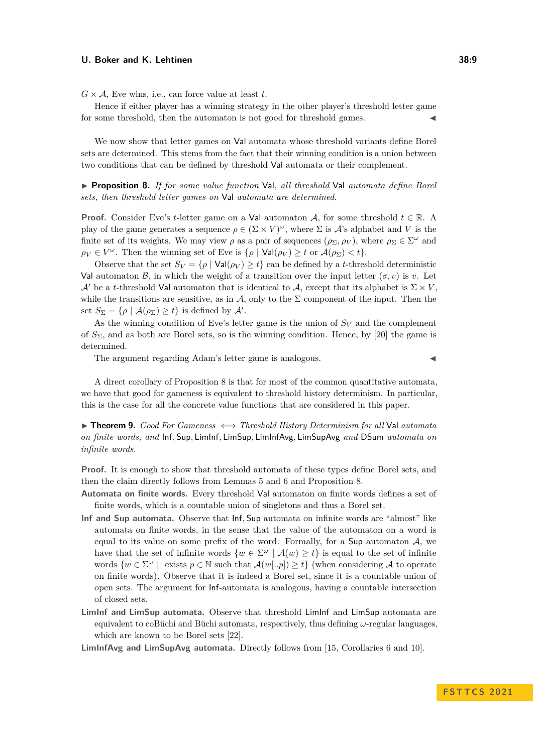$G \times A$ , Eve wins, i.e., can force value at least *t*.

Hence if either player has a winning strategy in the other player's threshold letter game for some threshold, then the automaton is not good for threshold games.

We now show that letter games on Val automata whose threshold variants define Borel sets are determined. This stems from the fact that their winning condition is a union between two conditions that can be defined by threshold Val automata or their complement.

<span id="page-8-1"></span>▶ **Proposition 8.** *If for some value function* Val*, all threshold* Val *automata define Borel sets, then threshold letter games on* Val *automata are determined.*

**Proof.** Consider Eve's *t*-letter game on a Val automaton A, for some threshold  $t \in \mathbb{R}$ . A play of the game generates a sequence  $\rho \in (\Sigma \times V)^\omega$ , where  $\Sigma$  is A's alphabet and V is the finite set of its weights. We may view  $\rho$  as a pair of sequences  $(\rho_{\Sigma}, \rho_{V})$ , where  $\rho_{\Sigma} \in \Sigma^{\omega}$  and  $\rho_V \in V^\omega$ . Then the winning set of Eve is  $\{\rho \mid \text{Val}(\rho_V) \geq t \text{ or } \mathcal{A}(\rho_\Sigma) < t\}.$ 

Observe that the set  $S_V = \{\rho \mid \text{Val}(\rho_V) \geq t\}$  can be defined by a *t*-threshold deterministic Val automaton B, in which the weight of a transition over the input letter  $(\sigma, v)$  is *v*. Let A' be a *t*-threshold Val automaton that is identical to A, except that its alphabet is  $\Sigma \times V$ , while the transitions are sensitive, as in  $\mathcal{A}$ , only to the  $\Sigma$  component of the input. Then the set  $S_{\Sigma} = {\rho | \mathcal{A}(\rho_{\Sigma}) \ge t}$  is defined by  $\mathcal{A}'$ .

As the winning condition of Eve's letter game is the union of  $S_V$  and the complement of *S*Σ, and as both are Borel sets, so is the winning condition. Hence, by [\[20\]](#page-16-8) the game is determined.

The argument regarding Adam's letter game is analogous.

A direct corollary of Proposition [8](#page-8-1) is that for most of the common quantitative automata, we have that good for gameness is equivalent to threshold history determinism. In particular, this is the case for all the concrete value functions that are considered in this paper.

<span id="page-8-0"></span>▶ **Theorem 9.** *Good For Gameness* ⇐⇒ *Threshold History Determinism for all* Val *automata on finite words, and* Inf*,* Sup*,* LimInf*,* LimSup*,* LimInfAvg*,* LimSupAvg *and* DSum *automata on infinite words.*

**Proof.** It is enough to show that threshold automata of these types define Borel sets, and then the claim directly follows from Lemmas [5](#page-6-3) and [6](#page-6-4) and Proposition [8.](#page-8-1)

**Automata on finite words.** Every threshold Val automaton on finite words defines a set of finite words, which is a countable union of singletons and thus a Borel set.

- **Inf and Sup automata.** Observe that Inf*,* Sup automata on infinite words are "almost" like automata on finite words, in the sense that the value of the automaton on a word is equal to its value on some prefix of the word. Formally, for a Sup automaton  $A$ , we have that the set of infinite words  $\{w \in \Sigma^{\omega} \mid A(w) \geq t\}$  is equal to the set of infinite words  $\{w \in \Sigma^{\omega} \mid \text{ exists } p \in \mathbb{N} \text{ such that } \mathcal{A}(w[.,p]) \geq t\}$  (when considering A to operate on finite words). Observe that it is indeed a Borel set, since it is a countable union of open sets. The argument for Inf-automata is analogous, having a countable intersection of closed sets.
- **LimInf and LimSup automata.** Observe that threshold LimInf and LimSup automata are equivalent to coBüchi and Büchi automata, respectively, thus defining *ω*-regular languages, which are known to be Borel sets [\[22\]](#page-16-9).

**LimInfAvg and LimSupAvg automata.** Directly follows from [\[15,](#page-16-10) Corollaries 6 and 10].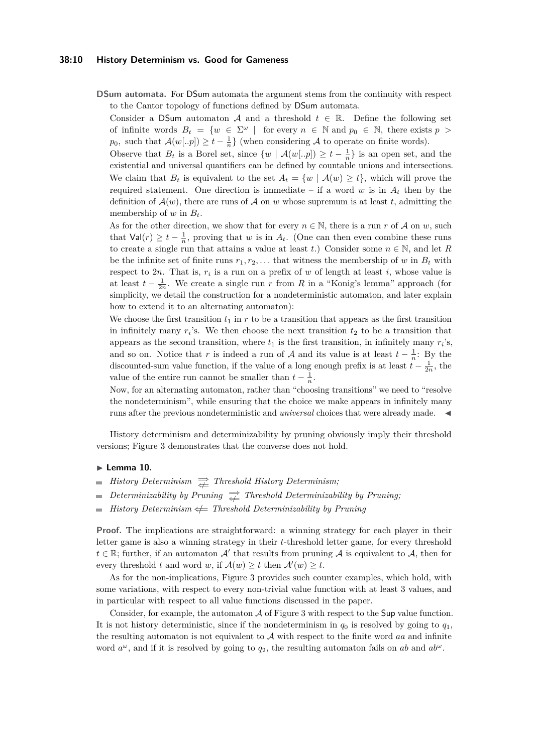#### **38:10 History Determinism vs. Good for Gameness**

**DSum automata.** For DSum automata the argument stems from the continuity with respect to the Cantor topology of functions defined by DSum automata.

Consider a DSum automaton A and a threshold  $t \in \mathbb{R}$ . Define the following set of infinite words  $B_t = \{w \in \Sigma^\omega \mid \text{for every } n \in \mathbb{N} \text{ and } p_0 \in \mathbb{N}, \text{ there exists } p >$ *p*<sub>0</sub>*,* such that  $\mathcal{A}(w[..p]) \ge t - \frac{1}{n}$  (when considering A to operate on finite words).

Observe that  $B_t$  is a Borel set, since  $\{w \mid \mathcal{A}(w[..p]) \geq t - \frac{1}{n}\}$  is an open set, and the existential and universal quantifiers can be defined by countable unions and intersections. We claim that  $B_t$  is equivalent to the set  $A_t = \{w \mid A(w) \geq t\}$ , which will prove the required statement. One direction is immediate – if a word  $w$  is in  $A_t$  then by the definition of  $\mathcal{A}(w)$ , there are runs of  $\mathcal{A}$  on  $w$  whose supremum is at least  $t$ , admitting the membership of *w* in *Bt*.

As for the other direction, we show that for every  $n \in \mathbb{N}$ , there is a run *r* of A on *w*, such that  $\text{Val}(r) \geq t - \frac{1}{n}$ , proving that *w* is in  $A_t$ . (One can then even combine these runs to create a single run that attains a value at least *t*.) Consider some  $n \in \mathbb{N}$ , and let *R* be the infinite set of finite runs  $r_1, r_2, \ldots$  that witness the membership of *w* in  $B_t$  with respect to  $2n$ . That is,  $r_i$  is a run on a prefix of  $w$  of length at least  $i$ , whose value is at least  $t - \frac{1}{2n}$ . We create a single run *r* from *R* in a "Konig's lemma" approach (for simplicity, we detail the construction for a nondeterministic automaton, and later explain how to extend it to an alternating automaton):

We choose the first transition  $t_1$  in  $r$  to be a transition that appears as the first transition in infinitely many  $r_i$ 's. We then choose the next transition  $t_2$  to be a transition that appears as the second transition, where  $t_1$  is the first transition, in infinitely many  $r_i$ 's, and so on. Notice that *r* is indeed a run of A and its value is at least  $t - \frac{1}{n}$ : By the discounted-sum value function, if the value of a long enough prefix is at least  $t - \frac{1}{2n}$ , the value of the entire run cannot be smaller than  $t - \frac{1}{n}$ .

Now, for an alternating automaton, rather than "choosing transitions" we need to "resolve the nondeterminism", while ensuring that the choice we make appears in infinitely many runs after the previous nondeterministic and *universal* choices that were already made. ◀

History determinism and determinizability by pruning obviously imply their threshold versions; Figure [3](#page-10-2) demonstrates that the converse does not hold.

#### <span id="page-9-0"></span>▶ **Lemma 10.**

- *History Determinism*  $\rightleftharpoons$  *Threshold History Determinism*;
- *Determinizability by Pruning*  $\rightleftharpoons$  *Threshold Determinizability by Pruning*;
- *History Determinism*  $★$  *Threshold Determinizability by Pruning*  $\blacksquare$

**Proof.** The implications are straightforward: a winning strategy for each player in their letter game is also a winning strategy in their *t*-threshold letter game, for every threshold  $t \in \mathbb{R}$ ; further, if an automaton  $\mathcal{A}'$  that results from pruning  $\mathcal{A}$  is equivalent to  $\mathcal{A}$ , then for every threshold *t* and word *w*, if  $\mathcal{A}(w) \geq t$  then  $\mathcal{A}'(w) \geq t$ .

As for the non-implications, Figure [3](#page-10-2) provides such counter examples, which hold, with some variations, with respect to every non-trivial value function with at least 3 values, and in particular with respect to all value functions discussed in the paper.

Consider, for example, the automaton  $A$  of Figure [3](#page-10-2) with respect to the Sup value function. It is not history deterministic, since if the nondeterminism in  $q_0$  is resolved by going to  $q_1$ , the resulting automaton is not equivalent to A with respect to the finite word *aa* and infinite word  $a^{\omega}$ , and if it is resolved by going to  $q_2$ , the resulting automaton fails on *ab* and  $ab^{\omega}$ .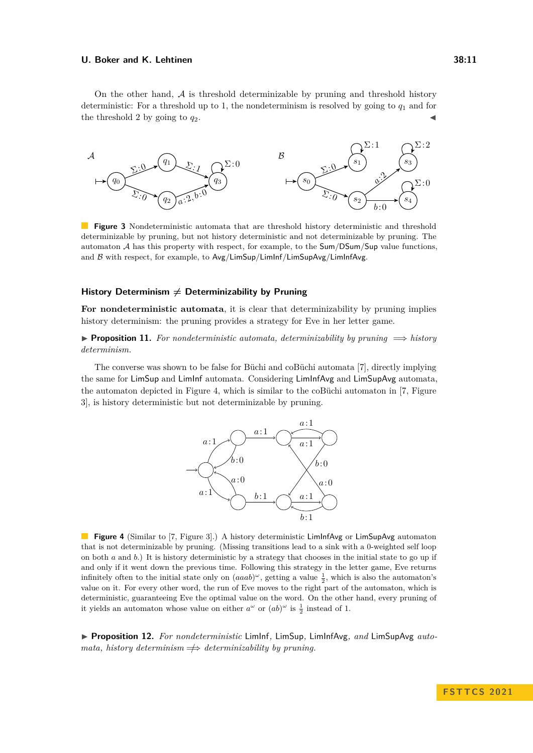On the other hand,  $A$  is threshold determinizable by pruning and threshold history deterministic: For a threshold up to 1, the nondeterminism is resolved by going to  $q_1$  and for the threshold 2 by going to  $q_2$ .

<span id="page-10-2"></span>

**Figure 3** Nondeterministic automata that are threshold history deterministic and threshold determinizable by pruning, but not history deterministic and not determinizable by pruning. The automaton A has this property with respect, for example, to the Sum*/*DSum*/*Sup value functions, and B with respect, for example, to Avg*/*LimSup*/*LimInf*/*LimSupAvg*/*LimInfAvg.

## History Determinism  $\neq$  Determinizability by Pruning

**For nondeterministic automata**, it is clear that determinizability by pruning implies history determinism: the pruning provides a strategy for Eve in her letter game.

<span id="page-10-0"></span>▶ **Proposition 11.** *For nondeterministic automata, determinizability by pruning* =⇒ *history determinism.*

<span id="page-10-3"></span>The converse was shown to be false for Büchi and coBüchi automata [\[7\]](#page-15-6), directly implying the same for LimSup and LimInf automata. Considering LimInfAvg and LimSupAvg automata, the automaton depicted in Figure [4,](#page-10-3) which is similar to the coBüchi automaton in [\[7,](#page-15-6) Figure 3], is history deterministic but not determinizable by pruning.



**Figure 4** (Similar to [\[7,](#page-15-6) Figure 3].) A history deterministic LimInfAvg or LimSupAvg automaton that is not determinizable by pruning. (Missing transitions lead to a sink with a 0-weighted self loop on both *a* and *b*.) It is history deterministic by a strategy that chooses in the initial state to go up if and only if it went down the previous time. Following this strategy in the letter game, Eve returns infinitely often to the initial state only on  $(aaab)^\omega$ , getting a value  $\frac{1}{2}$ , which is also the automaton's value on it. For every other word, the run of Eve moves to the right part of the automaton, which is deterministic, guaranteeing Eve the optimal value on the word. On the other hand, every pruning of it yields an automaton whose value on either  $a^{\omega}$  or  $(ab)^{\omega}$  is  $\frac{1}{2}$  instead of 1.

<span id="page-10-1"></span>▶ **Proposition 12.** *For nondeterministic* LimInf*,* LimSup*,* LimInfAvg*, and* LimSupAvg *automata, history determinism*  $\Rightarrow$  *determinizability by pruning.*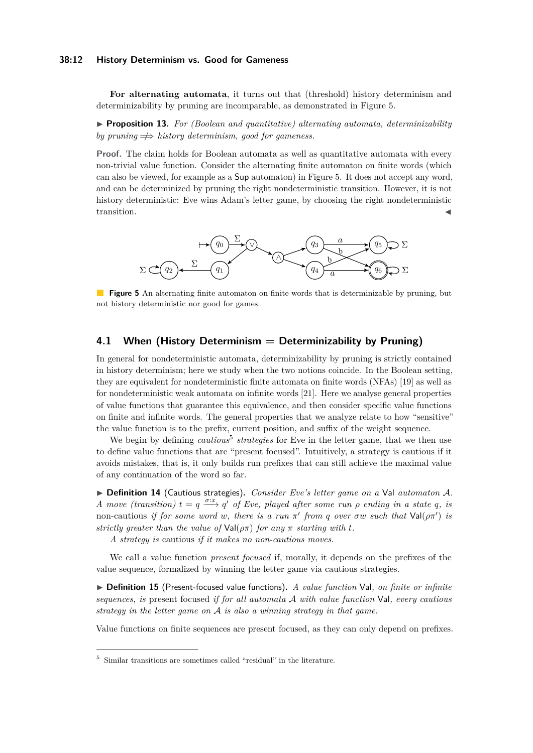#### **38:12 History Determinism vs. Good for Gameness**

**For alternating automata**, it turns out that (threshold) history determinism and determinizability by pruning are incomparable, as demonstrated in Figure [5.](#page-11-0)

<span id="page-11-2"></span>▶ **Proposition 13.** *For (Boolean and quantitative) alternating automata, determinizability by pruning*  $\Rightarrow$  *history determinism, good for gameness.* 

**Proof.** The claim holds for Boolean automata as well as quantitative automata with every non-trivial value function. Consider the alternating finite automaton on finite words (which can also be viewed, for example as a Sup automaton) in Figure [5.](#page-11-0) It does not accept any word, and can be determinized by pruning the right nondeterministic transition. However, it is not history deterministic: Eve wins Adam's letter game, by choosing the right nondeterministic transition.

<span id="page-11-0"></span>

**Figure 5** An alternating finite automaton on finite words that is determinizable by pruning, but not history deterministic nor good for games.

## <span id="page-11-1"></span>**4.1 When (History Determinism = Determinizability by Pruning)**

In general for nondeterministic automata, determinizability by pruning is strictly contained in history determinism; here we study when the two notions coincide. In the Boolean setting, they are equivalent for nondeterministic finite automata on finite words (NFAs) [\[19\]](#page-16-11) as well as for nondeterministic weak automata on infinite words [\[21\]](#page-16-12). Here we analyse general properties of value functions that guarantee this equivalence, and then consider specific value functions on finite and infinite words. The general properties that we analyze relate to how "sensitive" the value function is to the prefix, current position, and suffix of the weight sequence.

We begin by defining *cautious*<sup>[5](#page-11-3)</sup> strategies for Eve in the letter game, that we then use to define value functions that are "present focused". Intuitively, a strategy is cautious if it avoids mistakes, that is, it only builds run prefixes that can still achieve the maximal value of any continuation of the word so far.

▶ **Definition 14** (Cautious strategies)**.** *Consider Eve's letter game on a* Val *automaton* A*. A* move (transition)  $t = q \stackrel{\sigma:x}{\longrightarrow} q'$  of Eve, played after some run  $\rho$  ending in a state q, is non-cautious *if for some word w, there is a run*  $\pi'$  *from q over*  $\sigma w$  *such that*  $\text{Val}(\rho \pi')$  *is strictly greater than the value of*  $Val(\rho \pi)$  *for any*  $\pi$  *starting with t.* 

*A strategy is* cautious *if it makes no non-cautious moves.*

We call a value function *present focused* if, morally, it depends on the prefixes of the value sequence, formalized by winning the letter game via cautious strategies.

▶ **Definition 15** (Present-focused value functions)**.** *A value function* Val*, on finite or infinite sequences, is* present focused *if for all automata* A *with value function* Val*, every cautious strategy in the letter game on* A *is also a winning strategy in that game.*

<span id="page-11-4"></span>Value functions on finite sequences are present focused, as they can only depend on prefixes.

<span id="page-11-3"></span><sup>5</sup> Similar transitions are sometimes called "residual" in the literature.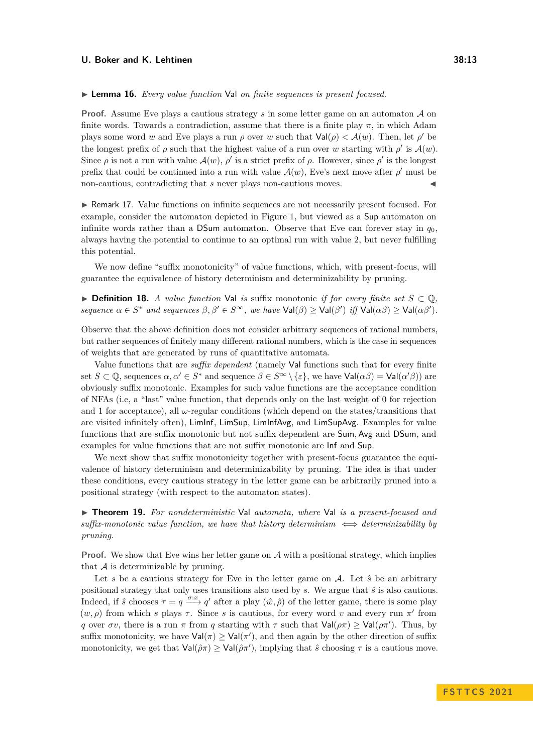#### ▶ **Lemma 16.** *Every value function* Val *on finite sequences is present focused.*

**Proof.** Assume Eve plays a cautious strategy *s* in some letter game on an automaton A on finite words. Towards a contradiction, assume that there is a finite play  $\pi$ , in which Adam plays some word *w* and Eve plays a run  $\rho$  over *w* such that  $Val(\rho) < A(w)$ . Then, let  $\rho'$  be the longest prefix of  $\rho$  such that the highest value of a run over *w* starting with  $\rho'$  is  $\mathcal{A}(w)$ . Since  $\rho$  is not a run with value  $\mathcal{A}(w)$ ,  $\rho'$  is a strict prefix of  $\rho$ . However, since  $\rho'$  is the longest prefix that could be continued into a run with value  $\mathcal{A}(w)$ , Eve's next move after  $\rho'$  must be non-cautious, contradicting that *s* never plays non-cautious moves.

▶ Remark 17. Value functions on infinite sequences are not necessarily present focused. For example, consider the automaton depicted in Figure [1,](#page-6-2) but viewed as a Sup automaton on infinite words rather than a DSum automaton. Observe that Eve can forever stay in  $q_0$ , always having the potential to continue to an optimal run with value 2, but never fulfilling this potential.

We now define "suffix monotonicity" of value functions, which, with present-focus, will guarantee the equivalence of history determinism and determinizability by pruning.

▶ **Definition 18.** *A value function* Val *is* suffix monotonic *if for every finite set*  $S \subset \mathbb{Q}$ , *sequence*  $\alpha \in S^*$  *and sequences*  $\beta, \beta' \in S^\infty$ , we have  $\text{Val}(\beta) \geq \text{Val}(\beta')$  *iff*  $\text{Val}(\alpha\beta) \geq \text{Val}(\alpha\beta')$ *.* 

Observe that the above definition does not consider arbitrary sequences of rational numbers, but rather sequences of finitely many different rational numbers, which is the case in sequences of weights that are generated by runs of quantitative automata.

Value functions that are *suffix dependent* (namely Val functions such that for every finite set  $S \subset \mathbb{Q}$ , sequences  $\alpha, \alpha' \in S^*$  and sequence  $\beta \in S^{\infty} \setminus {\varepsilon}$ , we have  $\text{Val}(\alpha \beta) = \text{Val}(\alpha' \beta)$  are obviously suffix monotonic. Examples for such value functions are the acceptance condition of NFAs (i.e, a "last" value function, that depends only on the last weight of 0 for rejection and 1 for acceptance), all  $\omega$ -regular conditions (which depend on the states/transitions that are visited infinitely often), LimInf, LimSup, LimInfAvg, and LimSupAvg. Examples for value functions that are suffix monotonic but not suffix dependent are Sum*,* Avg and DSum, and examples for value functions that are not suffix monotonic are Inf and Sup.

We next show that suffix monotonicity together with present-focus guarantee the equivalence of history determinism and determinizability by pruning. The idea is that under these conditions, every cautious strategy in the letter game can be arbitrarily pruned into a positional strategy (with respect to the automaton states).

<span id="page-12-0"></span>▶ **Theorem 19.** *For nondeterministic* Val *automata, where* Val *is a present-focused and*  $suffix-monotonic value function, we have that history determining  $\iff$  determinizability by$ *pruning.*

**Proof.** We show that Eve wins her letter game on A with a positional strategy, which implies that  $A$  is determinizable by pruning.

Let s be a cautious strategy for Eve in the letter game on  $A$ . Let  $\hat{s}$  be an arbitrary positional strategy that only uses transitions also used by *s*. We argue that *s*ˆ is also cautious. Indeed, if  $\hat{s}$  chooses  $\tau = q \stackrel{\sigma:x}{\longrightarrow} q'$  after a play  $(\hat{w}, \hat{\rho})$  of the letter game, there is some play  $(w, \rho)$  from which *s* plays  $\tau$ . Since *s* is cautious, for every word *v* and every run  $\pi'$  from *q* over  $\sigma v$ , there is a run  $\pi$  from *q* starting with  $\tau$  such that  $Val(\rho \pi) \ge Val(\rho \pi')$ . Thus, by suffix monotonicity, we have  $Val(\pi) \ge Val(\pi')$ , and then again by the other direction of suffix monotonicity, we get that  $Val(\hat{\rho}\pi) \ge Val(\hat{\rho}\pi')$ , implying that  $\hat{s}$  choosing  $\tau$  is a cautious move.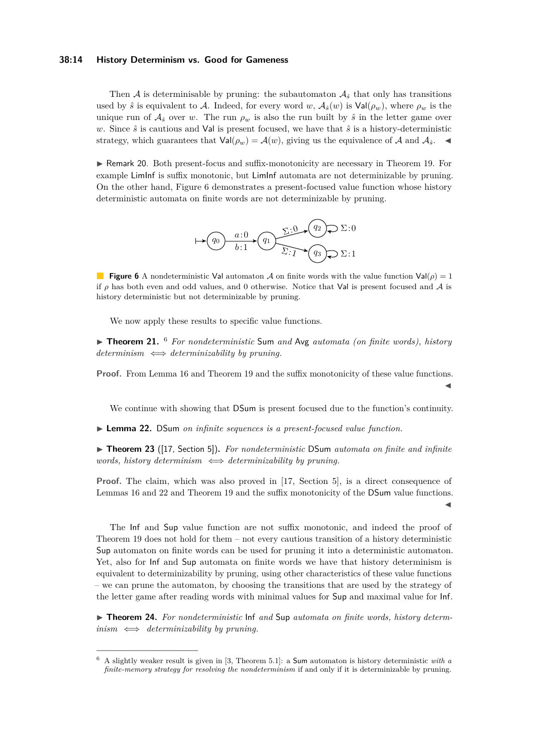#### **38:14 History Determinism vs. Good for Gameness**

Then A is determinisable by pruning: the subautomaton  $A_{\hat{s}}$  that only has transitions used by  $\hat{s}$  is equivalent to A. Indeed, for every word *w*,  $A_{\hat{s}}(w)$  is Val( $\rho_w$ ), where  $\rho_w$  is the unique run of  $A_{\hat{s}}$  over *w*. The run  $\rho_w$  is also the run built by  $\hat{s}$  in the letter game over *w*. Since  $\hat{s}$  is cautious and Val is present focused, we have that  $\hat{s}$  is a history-deterministic strategy, which guarantees that  $Val(\rho_w) = \mathcal{A}(w)$ , giving us the equivalence of  $\mathcal{A}$  and  $\mathcal{A}_{\delta}$ .

<span id="page-13-0"></span>▶ Remark 20. Both present-focus and suffix-monotonicity are necessary in Theorem [19.](#page-12-0) For example LimInf is suffix monotonic, but LimInf automata are not determinizable by pruning. On the other hand, Figure [6](#page-13-0) demonstrates a present-focused value function whose history deterministic automata on finite words are not determinizable by pruning.



**Figure 6** A nondeterministic Val automaton A on finite words with the value function Val( $\rho$ ) = 1 if *ρ* has both even and odd values, and 0 otherwise. Notice that Val is present focused and A is history deterministic but not determinizable by pruning.

We now apply these results to specific value functions.

▶ **Theorem 21.** [6](#page-13-1) *For nondeterministic* Sum *and* Avg *automata (on finite words), history determinism* ⇐⇒ *determinizability by pruning.*

**Proof.** From Lemma [16](#page-11-4) and Theorem [19](#page-12-0) and the suffix monotonicity of these value functions.

We continue with showing that DSum is present focused due to the function's continuity.

◀

◀

<span id="page-13-2"></span>▶ **Lemma 22.** DSum *on infinite sequences is a present-focused value function.*

▶ **Theorem 23** ([\[17,](#page-16-3) Section 5]). For nondeterministic DSum automata on finite and infinite *words, history determinism*  $\iff$  *determinizability by pruning.* 

**Proof.** The claim, which was also proved in [\[17,](#page-16-3) Section 5], is a direct consequence of Lemmas [16](#page-11-4) and [22](#page-13-2) and Theorem [19](#page-12-0) and the suffix monotonicity of the DSum value functions.

The Inf and Sup value function are not suffix monotonic, and indeed the proof of Theorem [19](#page-12-0) does not hold for them – not every cautious transition of a history deterministic Sup automaton on finite words can be used for pruning it into a deterministic automaton. Yet, also for Inf and Sup automata on finite words we have that history determinism is equivalent to determinizability by pruning, using other characteristics of these value functions – we can prune the automaton, by choosing the transitions that are used by the strategy of the letter game after reading words with minimal values for Sup and maximal value for Inf.

<span id="page-13-3"></span>▶ **Theorem 24.** For nondeterministic lnf and Sup automata on finite words, history determ*inism* ⇐⇒ *determinizability by pruning.*

<span id="page-13-1"></span><sup>6</sup> A slightly weaker result is given in [\[3,](#page-15-3) Theorem 5.1]: a Sum automaton is history deterministic *with a finite-memory strategy for resolving the nondeterminism* if and only if it is determinizable by pruning.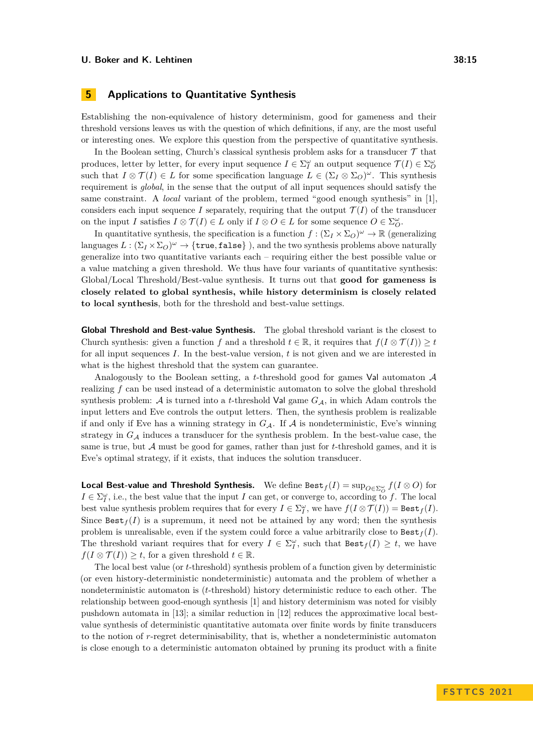# <span id="page-14-0"></span>**5 Applications to Quantitative Synthesis**

Establishing the non-equivalence of history determinism, good for gameness and their threshold versions leaves us with the question of which definitions, if any, are the most useful or interesting ones. We explore this question from the perspective of quantitative synthesis.

In the Boolean setting, Church's classical synthesis problem asks for a transducer  $\mathcal T$  that produces, letter by letter, for every input sequence  $I \in \Sigma_I^{\omega}$  an output sequence  $\mathcal{T}(I) \in \Sigma_O^{\omega}$ such that  $I \otimes \mathcal{T}(I) \in L$  for some specification language  $L \in (\Sigma_I \otimes \Sigma_O)^\omega$ . This synthesis requirement is *global*, in the sense that the output of all input sequences should satisfy the same constraint. A *local* variant of the problem, termed "good enough synthesis" in [\[1\]](#page-15-7), considers each input sequence *I* separately, requiring that the output  $\mathcal{T}(I)$  of the transducer on the input *I* satisfies  $I \otimes \mathcal{T}(I) \in L$  only if  $I \otimes O \in L$  for some sequence  $O \in \Sigma_O^{\omega}$ .

In quantitative synthesis, the specification is a function  $f : (\Sigma_I \times \Sigma_O)^\omega \to \mathbb{R}$  (generalizing languages  $L : (\Sigma_I \times \Sigma_O)^\omega \to \{\texttt{true}, \texttt{false}\}\)$ , and the two synthesis problems above naturally generalize into two quantitative variants each – requiring either the best possible value or a value matching a given threshold. We thus have four variants of quantitative synthesis: Global/Local Threshold/Best-value synthesis. It turns out that **good for gameness is closely related to global synthesis, while history determinism is closely related to local synthesis**, both for the threshold and best-value settings.

**Global Threshold and Best-value Synthesis.** The global threshold variant is the closest to Church synthesis: given a function *f* and a threshold  $t \in \mathbb{R}$ , it requires that  $f(I \otimes \mathcal{T}(I)) \geq t$ for all input sequences *I*. In the best-value version, *t* is not given and we are interested in what is the highest threshold that the system can guarantee.

Analogously to the Boolean setting, a *t*-threshold good for games Val automaton A realizing *f* can be used instead of a deterministic automaton to solve the global threshold synthesis problem:  $\mathcal A$  is turned into a *t*-threshold Val game  $G_{\mathcal A}$ , in which Adam controls the input letters and Eve controls the output letters. Then, the synthesis problem is realizable if and only if Eve has a winning strategy in  $G_A$ . If A is nondeterministic, Eve's winning strategy in  $G_A$  induces a transducer for the synthesis problem. In the best-value case, the same is true, but A must be good for games, rather than just for *t*-threshold games, and it is Eve's optimal strategy, if it exists, that induces the solution transducer.

**Local Best-value and Threshold Synthesis.** We define Best $_f(I) = \sup_{O \in \Sigma_O^{\omega}} f(I \otimes O)$  for  $I \in \Sigma_I^{\omega}$ , i.e., the best value that the input *I* can get, or converge to, according to *f*. The local best value synthesis problem requires that for every  $I \in \Sigma_I^{\omega}$ , we have  $f(I \otimes \mathcal{T}(I)) = \text{Best}_f(I)$ . Since  $\text{Best}_f(I)$  is a supremum, it need not be attained by any word; then the synthesis problem is unrealisable, even if the system could force a value arbitrarily close to  $\text{Best}_f(I)$ . The threshold variant requires that for every  $I \in \Sigma_I^{\omega}$ , such that  $\text{Best}_f(I) \geq t$ , we have  $f(I \otimes \mathcal{T}(I)) \geq t$ , for a given threshold  $t \in \mathbb{R}$ .

The local best value (or *t*-threshold) synthesis problem of a function given by deterministic (or even history-deterministic nondeterministic) automata and the problem of whether a nondeterministic automaton is (*t*-threshold) history deterministic reduce to each other. The relationship between good-enough synthesis [\[1\]](#page-15-7) and history determinism was noted for visibly pushdown automata in [\[13\]](#page-16-13); a similar reduction in [\[12\]](#page-16-6) reduces the approximative local bestvalue synthesis of deterministic quantitative automata over finite words by finite transducers to the notion of *r*-regret determinisability, that is, whether a nondeterministic automaton is close enough to a deterministic automaton obtained by pruning its product with a finite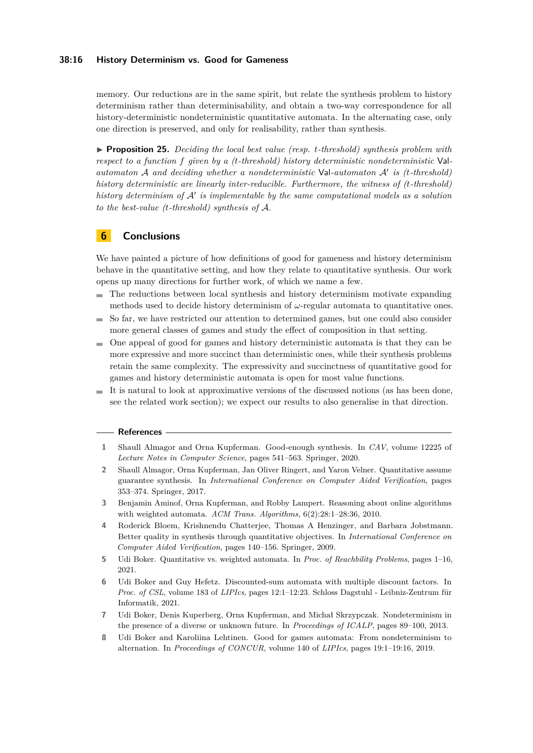### **38:16 History Determinism vs. Good for Gameness**

memory. Our reductions are in the same spirit, but relate the synthesis problem to history determinism rather than determinisability, and obtain a two-way correspondence for all history-deterministic nondeterministic quantitative automata. In the alternating case, only one direction is preserved, and only for realisability, rather than synthesis.

<span id="page-15-8"></span>▶ **Proposition 25.** *Deciding the local best value (resp. t-threshold) synthesis problem with respect to a function f given by a (t-threshold) history deterministic nondeterministic* Val*automaton* A *and deciding whether a nondeterministic* Val*-automaton* A′ *is (t-threshold) history deterministic are linearly inter-reducible. Furthermore, the witness of (t-threshold) history determinism of* A′ *is implementable by the same computational models as a solution to the best-value (t-threshold) synthesis of* A*.*

# **6 Conclusions**

We have painted a picture of how definitions of good for gameness and history determinism behave in the quantitative setting, and how they relate to quantitative synthesis. Our work opens up many directions for further work, of which we name a few.

- The reductions between local synthesis and history determinism motivate expanding methods used to decide history determinism of *ω*-regular automata to quantitative ones.
- So far, we have restricted our attention to determined games, but one could also consider  $\blacksquare$ more general classes of games and study the effect of composition in that setting.
- One appeal of good for games and history deterministic automata is that they can be m. more expressive and more succinct than deterministic ones, while their synthesis problems retain the same complexity. The expressivity and succinctness of quantitative good for games and history deterministic automata is open for most value functions.
- It is natural to look at approximative versions of the discussed notions (as has been done, see the related work section); we expect our results to also generalise in that direction.

#### **References**

- <span id="page-15-7"></span>**1** Shaull Almagor and Orna Kupferman. Good-enough synthesis. In *CAV*, volume 12225 of *Lecture Notes in Computer Science*, pages 541–563. Springer, 2020.
- <span id="page-15-1"></span>**2** Shaull Almagor, Orna Kupferman, Jan Oliver Ringert, and Yaron Velner. Quantitative assume guarantee synthesis. In *International Conference on Computer Aided Verification*, pages 353–374. Springer, 2017.
- <span id="page-15-3"></span>**3** Benjamin Aminof, Orna Kupferman, and Robby Lampert. Reasoning about online algorithms with weighted automata. *ACM Trans. Algorithms*, 6(2):28:1–28:36, 2010.
- <span id="page-15-2"></span>**4** Roderick Bloem, Krishnendu Chatterjee, Thomas A Henzinger, and Barbara Jobstmann. Better quality in synthesis through quantitative objectives. In *International Conference on Computer Aided Verification*, pages 140–156. Springer, 2009.
- <span id="page-15-4"></span>**5** Udi Boker. Quantitative vs. weighted automata. In *Proc. of Reachbility Problems*, pages 1–16, 2021.
- <span id="page-15-5"></span>**6** Udi Boker and Guy Hefetz. Discounted-sum automata with multiple discount factors. In *Proc. of CSL*, volume 183 of *LIPIcs*, pages 12:1–12:23. Schloss Dagstuhl - Leibniz-Zentrum für Informatik, 2021.
- <span id="page-15-6"></span>**7** Udi Boker, Denis Kuperberg, Orna Kupferman, and Michał Skrzypczak. Nondeterminism in the presence of a diverse or unknown future. In *Proceedings of ICALP*, pages 89–100, 2013.
- <span id="page-15-0"></span>**8** Udi Boker and Karoliina Lehtinen. Good for games automata: From nondeterminism to alternation. In *Proceedings of CONCUR*, volume 140 of *LIPIcs*, pages 19:1–19:16, 2019.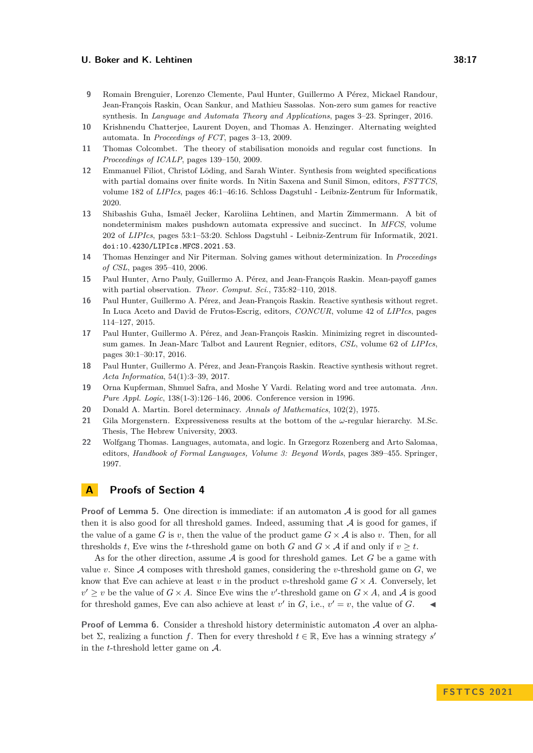- <span id="page-16-5"></span>**9** Romain Brenguier, Lorenzo Clemente, Paul Hunter, Guillermo A Pérez, Mickael Randour, Jean-François Raskin, Ocan Sankur, and Mathieu Sassolas. Non-zero sum games for reactive synthesis. In *Language and Automata Theory and Applications*, pages 3–23. Springer, 2016.
- <span id="page-16-7"></span>**10** Krishnendu Chatterjee, Laurent Doyen, and Thomas A. Henzinger. Alternating weighted automata. In *Proceedings of FCT*, pages 3–13, 2009.
- <span id="page-16-0"></span>**11** Thomas Colcombet. The theory of stabilisation monoids and regular cost functions. In *Proceedings of ICALP*, pages 139–150, 2009.
- <span id="page-16-6"></span>**12** Emmanuel Filiot, Christof Löding, and Sarah Winter. Synthesis from weighted specifications with partial domains over finite words. In Nitin Saxena and Sunil Simon, editors, *FSTTCS*, volume 182 of *LIPIcs*, pages 46:1–46:16. Schloss Dagstuhl - Leibniz-Zentrum für Informatik, 2020.
- <span id="page-16-13"></span>**13** Shibashis Guha, Ismaël Jecker, Karoliina Lehtinen, and Martin Zimmermann. A bit of nondeterminism makes pushdown automata expressive and succinct. In *MFCS*, volume 202 of *LIPIcs*, pages 53:1–53:20. Schloss Dagstuhl - Leibniz-Zentrum für Informatik, 2021. [doi:10.4230/LIPIcs.MFCS.2021.53](https://doi.org/10.4230/LIPIcs.MFCS.2021.53).
- <span id="page-16-1"></span>**14** Thomas Henzinger and Nir Piterman. Solving games without determinization. In *Proceedings of CSL*, pages 395–410, 2006.
- <span id="page-16-10"></span>**15** Paul Hunter, Arno Pauly, Guillermo A. Pérez, and Jean-François Raskin. Mean-payoff games with partial observation. *Theor. Comput. Sci.*, 735:82–110, 2018.
- <span id="page-16-2"></span>**16** Paul Hunter, Guillermo A. Pérez, and Jean-François Raskin. Reactive synthesis without regret. In Luca Aceto and David de Frutos-Escrig, editors, *CONCUR*, volume 42 of *LIPIcs*, pages 114–127, 2015.
- <span id="page-16-3"></span>**17** Paul Hunter, Guillermo A. Pérez, and Jean-François Raskin. Minimizing regret in discountedsum games. In Jean-Marc Talbot and Laurent Regnier, editors, *CSL*, volume 62 of *LIPIcs*, pages 30:1–30:17, 2016.
- <span id="page-16-4"></span>**18** Paul Hunter, Guillermo A. Pérez, and Jean-François Raskin. Reactive synthesis without regret. *Acta Informatica*, 54(1):3–39, 2017.
- <span id="page-16-11"></span>**19** Orna Kupferman, Shmuel Safra, and Moshe Y Vardi. Relating word and tree automata. *Ann. Pure Appl. Logic*, 138(1-3):126–146, 2006. Conference version in 1996.
- <span id="page-16-8"></span>**20** Donald A. Martin. Borel determinacy. *Annals of Mathematics*, 102(2), 1975.
- <span id="page-16-12"></span>**21** Gila Morgenstern. Expressiveness results at the bottom of the *ω*-regular hierarchy. M.Sc. Thesis, The Hebrew University, 2003.
- <span id="page-16-9"></span>**22** Wolfgang Thomas. Languages, automata, and logic. In Grzegorz Rozenberg and Arto Salomaa, editors, *Handbook of Formal Languages, Volume 3: Beyond Words*, pages 389–455. Springer, 1997.

# **A Proofs of Section [4](#page-6-0)**

**Proof of Lemma [5.](#page-6-3)** One direction is immediate: if an automaton  $A$  is good for all games then it is also good for all threshold games. Indeed, assuming that  $A$  is good for games, if the value of a game *G* is *v*, then the value of the product game  $G \times A$  is also *v*. Then, for all thresholds *t*, Eve wins the *t*-threshold game on both *G* and  $G \times A$  if and only if  $v \geq t$ .

As for the other direction, assume A is good for threshold games. Let *G* be a game with value *v*. Since  $A$  composes with threshold games, considering the *v*-threshold game on  $G$ , we know that Eve can achieve at least *v* in the product *v*-threshold game  $G \times A$ . Conversely, let  $v' \geq v$  be the value of  $G \times A$ . Since Eve wins the *v*'-threshold game on  $G \times A$ , and A is good for threshold games, Eve can also achieve at least  $v'$  in *G*, i.e.,  $v' = v$ , the value of *G*.

**Proof of Lemma [6.](#page-6-4)** Consider a threshold history deterministic automaton A over an alphabet  $\Sigma$ , realizing a function *f*. Then for every threshold  $t \in \mathbb{R}$ , Eve has a winning strategy *s*<sup>*'*</sup> in the *t*-threshold letter game on A.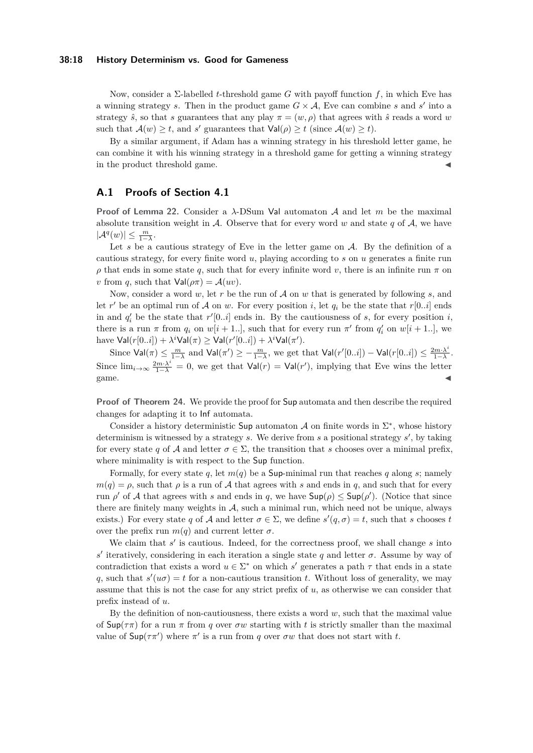#### **38:18 History Determinism vs. Good for Gameness**

Now, consider a Σ-labelled *t*-threshold game *G* with payoff function *f*, in which Eve has a winning strategy *s*. Then in the product game  $G \times A$ , Eve can combine *s* and *s'* into a strategy  $\hat{s}$ , so that *s* guarantees that any play  $\pi = (w, \rho)$  that agrees with  $\hat{s}$  reads a word *w* such that  $\mathcal{A}(w) \geq t$ , and *s'* guarantees that  $\text{Val}(\rho) \geq t$  (since  $\mathcal{A}(w) \geq t$ ).

By a similar argument, if Adam has a winning strategy in his threshold letter game, he can combine it with his winning strategy in a threshold game for getting a winning strategy in the product threshold game.

## **A.1 Proofs of Section [4.1](#page-11-1)**

**Proof of Lemma [22.](#page-13-2)** Consider a *λ*-DSum Val automaton A and let *m* be the maximal absolute transition weight in  $A$ . Observe that for every word  $w$  and state  $q$  of  $A$ , we have  $|\mathcal{A}^q(w)| \leq \frac{m}{1-\lambda}.$ 

Let  $s$  be a cautious strategy of Eve in the letter game on  $A$ . By the definition of a cautious strategy, for every finite word *u*, playing according to *s* on *u* generates a finite run *ρ* that ends in some state *q*, such that for every infinite word *v*, there is an infinite run *π* on *v* from *q*, such that  $Val(\rho \pi) = A(uv)$ .

Now, consider a word *w*, let *r* be the run of A on *w* that is generated by following *s*, and let  $r'$  be an optimal run of A on  $w$ . For every position *i*, let  $q_i$  be the state that  $r[0..i]$  ends in and  $q'_i$  be the state that  $r'[0..i]$  ends in. By the cautiousness of *s*, for every position *i*, there is a run  $\pi$  from  $q_i$  on  $w[i + 1..]$ , such that for every run  $\pi'$  from  $q'_i$  on  $w[i + 1..]$ , we have  $\mathsf{Val}(r[0..i]) + \lambda^i \mathsf{Val}(\pi) \geq \mathsf{Val}(r'[0..i]) + \lambda^i \mathsf{Val}(\pi').$ 

Since  $\text{Val}(\pi) \le \frac{m}{1-\lambda}$  and  $\text{Val}(\pi') \ge -\frac{m}{1-\lambda}$ , we get that  $\text{Val}(r'[0..i]) - \text{Val}(r[0..i]) \le \frac{2m \cdot \lambda^i}{1-\lambda}$  $\frac{2m\cdot\lambda^i}{1-\lambda}$ . Since  $\lim_{i\to\infty} \frac{2m\cdot\lambda^i}{1-\lambda} = 0$ , we get that  $\text{Val}(r) = \text{Val}(r')$ , implying that Eve wins the letter  $\sum_{i=1}^{n}$  and  $\sum_{i=1}^{n}$  and  $\sum_{i=1}^{n}$  and  $\sum_{i=1}^{n}$  and  $\sum_{i=1}^{n}$  and  $\sum_{i=1}^{n}$  and  $\sum_{i=1}^{n}$  and  $\sum_{i=1}^{n}$  and  $\sum_{i=1}^{n}$  and  $\sum_{i=1}^{n}$  and  $\sum_{i=1}^{n}$  and  $\sum_{i=1}^{n}$  and  $\sum_{i=1}^{n}$  and

**Proof of Theorem [24.](#page-13-3)** We provide the proof for Sup automata and then describe the required changes for adapting it to Inf automata.

Consider a history deterministic Sup automaton A on finite words in  $\Sigma^*$ , whose history determinism is witnessed by a strategy *s*. We derive from *s* a positional strategy *s* ′ , by taking for every state *q* of A and letter  $\sigma \in \Sigma$ , the transition that *s* chooses over a minimal prefix, where minimality is with respect to the Sup function.

Formally, for every state *q*, let  $m(q)$  be a Sup-minimal run that reaches *q* along *s*; namely  $m(q) = \rho$ , such that  $\rho$  is a run of A that agrees with *s* and ends in *q*, and such that for every run  $\rho'$  of A that agrees with *s* and ends in *q*, we have  $\mathsf{Supp}(\rho) \leq \mathsf{Sup}(\rho')$ . (Notice that since there are finitely many weights in  $A$ , such a minimal run, which need not be unique, always exists.) For every state *q* of A and letter  $\sigma \in \Sigma$ , we define  $s'(q, \sigma) = t$ , such that *s* chooses *t* over the prefix run  $m(q)$  and current letter  $\sigma$ .

We claim that  $s'$  is cautious. Indeed, for the correctness proof, we shall change  $s$  into  $s'$  iteratively, considering in each iteration a single state *q* and letter *σ*. Assume by way of contradiction that exists a word  $u \in \Sigma^*$  on which *s'* generates a path  $\tau$  that ends in a state *q*, such that  $s'(u\sigma) = t$  for a non-cautious transition *t*. Without loss of generality, we may assume that this is not the case for any strict prefix of *u*, as otherwise we can consider that prefix instead of *u*.

By the definition of non-cautiousness, there exists a word *w*, such that the maximal value of  $\textsf{Sup}(\tau\pi)$  for a run  $\pi$  from *q* over  $\sigma w$  starting with *t* is strictly smaller than the maximal value of  $\textsf{Sup}(\tau \pi')$  where  $\pi'$  is a run from *q* over  $\sigma w$  that does not start with *t*.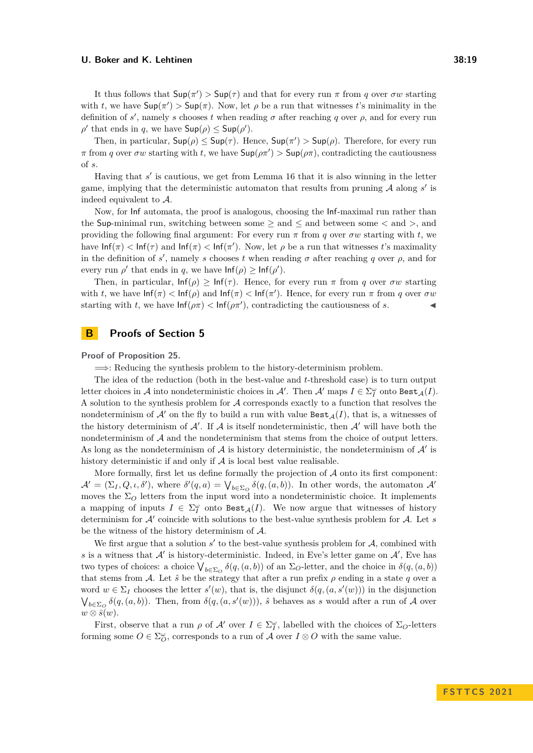It thus follows that  $\text{Sup}(\pi') > \text{Sup}(\tau)$  and that for every run  $\pi$  from *q* over  $\sigma w$  starting with *t*, we have  $\mathsf{Supp}(\pi') > \mathsf{Supp}(\pi)$ . Now, let  $\rho$  be a run that witnesses *t*'s minimality in the definition of  $s'$ , namely  $s$  chooses  $t$  when reading  $\sigma$  after reaching  $q$  over  $\rho$ , and for every run  $\rho'$  that ends in *q*, we have  $\mathsf{Supp}(\rho) \leq \mathsf{Supp}(\rho').$ 

Then, in particular,  $\text{Sup}(\rho) \leq \text{Sup}(\tau)$ . Hence,  $\text{Sup}(\pi') > \text{Sup}(\rho)$ . Therefore, for every run  $\pi$  from *q* over  $\sigma w$  starting with *t*, we have  $\text{Sup}(\rho \pi') > \text{Sup}(\rho \pi)$ , contradicting the cautiousness of *s*.

Having that *s'* is cautious, we get from Lemma [16](#page-11-4) that it is also winning in the letter game, implying that the deterministic automaton that results from pruning  $A$  along  $s'$  is indeed equivalent to A.

Now, for Inf automata, the proof is analogous, choosing the Inf-maximal run rather than the Sup-minimal run, switching between some ≥ and ≤ and between some *<* and *>*, and providing the following final argument: For every run  $\pi$  from *q* over  $\sigma w$  starting with *t*, we have  $\text{Inf}(\pi) < \text{Inf}(\tau)$  and  $\text{Inf}(\pi) < \text{Inf}(\pi')$ . Now, let  $\rho$  be a run that witnesses *t*'s maximality in the definition of *s*<sup>'</sup>, namely *s* chooses *t* when reading  $\sigma$  after reaching *q* over  $\rho$ , and for every run  $\rho'$  that ends in *q*, we have  $\text{Inf}(\rho) \geq \text{Inf}(\rho').$ 

Then, in particular,  $\text{Inf}(\rho) \geq \text{Inf}(\tau)$ . Hence, for every run  $\pi$  from *q* over  $\sigma w$  starting with *t*, we have  $\ln f(\pi) < \ln f(\rho)$  and  $\ln f(\pi) < \ln f(\pi')$ . Hence, for every run  $\pi$  from *q* over  $\sigma w$ starting with *t*, we have  $\text{Inf}(\rho \pi) < \text{Inf}(\rho \pi')$ , contradicting the cautiousness of *s*.

## **B Proofs of Section [5](#page-14-0)**

**Proof of Proposition [25.](#page-15-8)**

=⇒: Reducing the synthesis problem to the history-determinism problem.

The idea of the reduction (both in the best-value and *t*-threshold case) is to turn output letter choices in  $\mathcal A$  into nondeterministic choices in  $\mathcal A'$ . Then  $\mathcal A'$  maps  $I \in \Sigma_I^{\omega}$  onto  $\texttt{Best}_{\mathcal A}(I)$ . A solution to the synthesis problem for A corresponds exactly to a function that resolves the nondeterminism of  $A'$  on the fly to build a run with value  $\texttt{Best}_{A}(I)$ , that is, a witnesses of the history determinism of  $A'$ . If  $A$  is itself nondeterministic, then  $A'$  will have both the nondeterminism of A and the nondeterminism that stems from the choice of output letters. As long as the nondeterminism of  $A$  is history deterministic, the nondeterminism of  $A'$  is history deterministic if and only if  $A$  is local best value realisable.

More formally, first let us define formally the projection of  $A$  onto its first component:  $\mathcal{A}' = (\Sigma_I, Q, \iota, \delta')$ , where  $\delta'(q, a) = \bigvee_{b \in \Sigma_Q} \delta(q, (a, b))$ . In other words, the automaton  $\mathcal{A}'$ moves the  $\Sigma_O$  letters from the input word into a nondeterministic choice. It implements a mapping of inputs  $I \in \Sigma_I^{\omega}$  onto  $\text{Best}_{\mathcal{A}}(I)$ . We now argue that witnesses of history determinism for A′ coincide with solutions to the best-value synthesis problem for A. Let *s* be the witness of the history determinism of A.

We first argue that a solution  $s'$  to the best-value synthesis problem for  $A$ , combined with s is a witness that  $\mathcal{A}'$  is history-deterministic. Indeed, in Eve's letter game on  $\mathcal{A}'$ , Eve has two types of choices: a choice  $\bigvee_{b \in \Sigma_O} \delta(q, (a, b))$  of an  $\Sigma_O$ -letter, and the choice in  $\delta(q, (a, b))$ that stems from A. Let  $\hat{s}$  be the strategy that after a run prefix  $\rho$  ending in a state q over a word  $w \in \Sigma_I$  chooses the letter  $s'(w)$ , that is, the disjunct  $\delta(q, (a, s'(w)))$  in the disjunction  $\bigvee_{b \in \Sigma_O} \delta(q, (a, b))$ . Then, from  $\delta(q, (a, s'(w)))$ , *s*̂ behaves as *s* would after a run of *A* over  $w \otimes \overline{s}(w)$ .

First, observe that a run  $\rho$  of  $\mathcal{A}'$  over  $I \in \Sigma_I^{\omega}$ , labelled with the choices of  $\Sigma_O$ -letters forming some  $O \in \Sigma_O^{\omega}$ , corresponds to a run of A over  $I \otimes O$  with the same value.